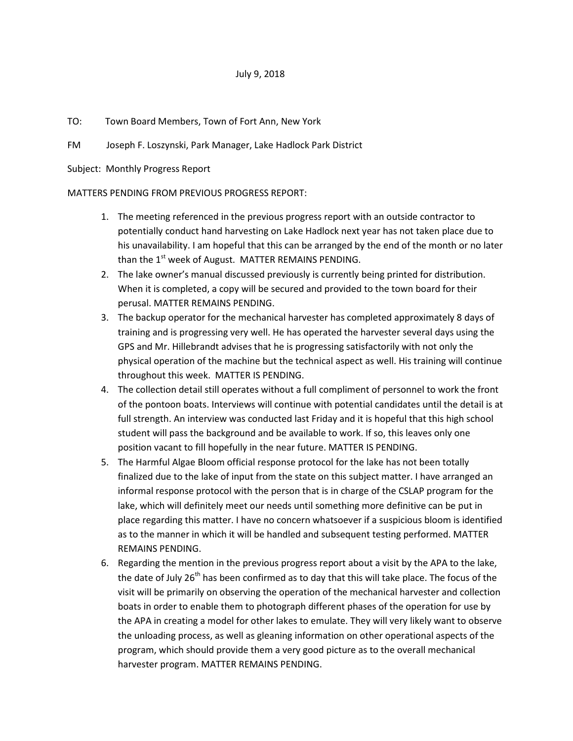## July 9, 2018

## TO: Town Board Members, Town of Fort Ann, New York

FM Joseph F. Loszynski, Park Manager, Lake Hadlock Park District

Subject: Monthly Progress Report

## MATTERS PENDING FROM PREVIOUS PROGRESS REPORT:

- 1. The meeting referenced in the previous progress report with an outside contractor to potentially conduct hand harvesting on Lake Hadlock next year has not taken place due to his unavailability. I am hopeful that this can be arranged by the end of the month or no later than the  $1<sup>st</sup>$  week of August. MATTER REMAINS PENDING.
- 2. The lake owner's manual discussed previously is currently being printed for distribution. When it is completed, a copy will be secured and provided to the town board for their perusal. MATTER REMAINS PENDING.
- 3. The backup operator for the mechanical harvester has completed approximately 8 days of training and is progressing very well. He has operated the harvester several days using the GPS and Mr. Hillebrandt advises that he is progressing satisfactorily with not only the physical operation of the machine but the technical aspect as well. His training will continue throughout this week. MATTER IS PENDING.
- 4. The collection detail still operates without a full compliment of personnel to work the front of the pontoon boats. Interviews will continue with potential candidates until the detail is at full strength. An interview was conducted last Friday and it is hopeful that this high school student will pass the background and be available to work. If so, this leaves only one position vacant to fill hopefully in the near future. MATTER IS PENDING.
- 5. The Harmful Algae Bloom official response protocol for the lake has not been totally finalized due to the lake of input from the state on this subject matter. I have arranged an informal response protocol with the person that is in charge of the CSLAP program for the lake, which will definitely meet our needs until something more definitive can be put in place regarding this matter. I have no concern whatsoever if a suspicious bloom is identified as to the manner in which it will be handled and subsequent testing performed. MATTER REMAINS PENDING.
- 6. Regarding the mention in the previous progress report about a visit by the APA to the lake, the date of July 26<sup>th</sup> has been confirmed as to day that this will take place. The focus of the visit will be primarily on observing the operation of the mechanical harvester and collection boats in order to enable them to photograph different phases of the operation for use by the APA in creating a model for other lakes to emulate. They will very likely want to observe the unloading process, as well as gleaning information on other operational aspects of the program, which should provide them a very good picture as to the overall mechanical harvester program. MATTER REMAINS PENDING.